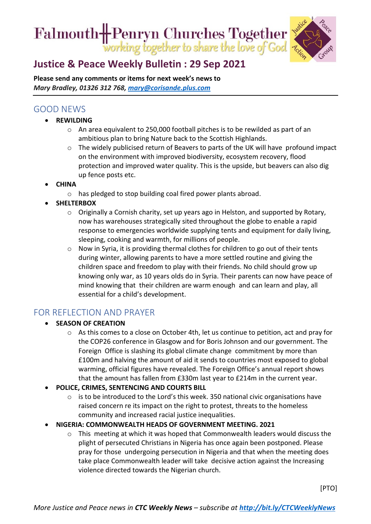Falmouth- Penryn Churches Together



# **[Justice & Peace Weekly Bulletin : 29](https://ctcinfohub.us20.list-manage.com/track/click?u=b645f09ec283e4df6750ff7ee&id=b04d1aea1f&e=5e2c195eda) Sep 2021**

**Please send any comments or items for next week's news to**  *Mary Bradley, 01326 312 768, [mary@corisande.plus.com](mailto:mary@corisande.plus.com)*

## GOOD NEWS

- **REWILDING**
	- o An area equivalent to 250,000 football pitches is to be rewilded as part of an ambitious plan to bring Nature back to the Scottish Highlands.
	- $\circ$  The widely publicised return of Beavers to parts of the UK will have profound impact on the environment with improved biodiversity, ecosystem recovery, flood protection and improved water quality. This is the upside, but beavers can also dig up fence posts etc.
- **CHINA** 
	- o has pledged to stop building coal fired power plants abroad.
- **SHELTERBOX** 
	- $\circ$  Originally a Cornish charity, set up years ago in Helston, and supported by Rotary, now has warehouses strategically sited throughout the globe to enable a rapid response to emergencies worldwide supplying tents and equipment for daily living, sleeping, cooking and warmth, for millions of people.
	- o Now in Syria, it is providing thermal clothes for children to go out of their tents during winter, allowing parents to have a more settled routine and giving the children space and freedom to play with their friends. No child should grow up knowing only war, as 10 years olds do in Syria. Their parents can now have peace of mind knowing that their children are warm enough and can learn and play, all essential for a child's development.

### FOR REFLECTION AND PRAYER

- **SEASON OF CREATION**
	- $\circ$  As this comes to a close on October 4th, let us continue to petition, act and pray for the COP26 conference in Glasgow and for Boris Johnson and our government. The Foreign Office is slashing its global climate change commitment by more than £100m and halving the amount of aid it sends to countries most exposed to global warming, official figures have revealed. The Foreign Office's annual report shows that the amount has fallen from £330m last year to £214m in the current year.
- **POLICE, CRIMES, SENTENCING AND COURTS BILL**
	- o is to be introduced to the Lord's this week. 350 national civic organisations have raised concern re its impact on the right to protest, threats to the homeless community and increased racial justice inequalities.
- **NIGERIA: COMMONWEALTH HEADS OF GOVERNMENT MEETING. 2021**
	- o This meeting at which it was hoped that Commonwealth leaders would discuss the plight of persecuted Christians in Nigeria has once again been postponed. Please pray for those undergoing persecution in Nigeria and that when the meeting does take place Commonwealth leader will take decisive action against the Increasing violence directed towards the Nigerian church.